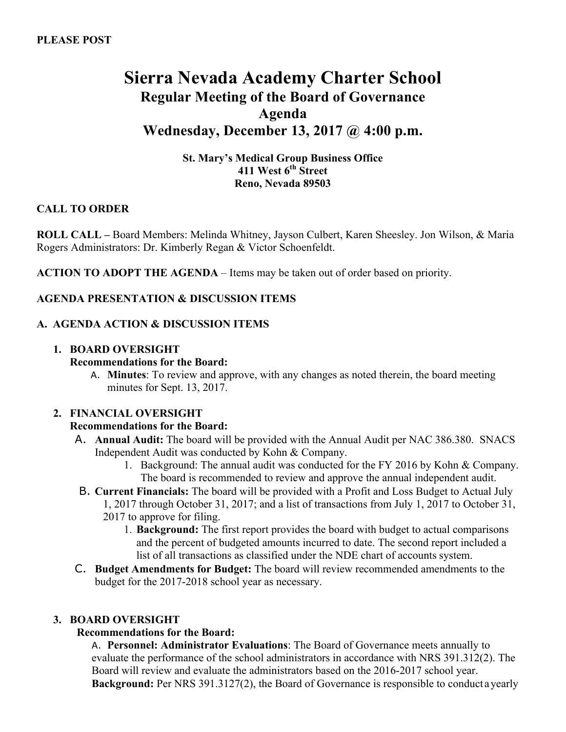# **Sierra Nevada Academy Charter School Regular Meeting of the Board of Governance Agenda Wednesday, December 13, 2017 @ 4:00 p.m.**

**St. Mary's Medical Group Business Office 411 West 6th Street Reno, Nevada 89503**

## **CALL TO ORDER**

**ROLL CALL –** Board Members: Melinda Whitney, Jayson Culbert, Karen Sheesley. Jon Wilson, & Maria Rogers Administrators: Dr. Kimberly Regan & Victor Schoenfeldt.

**ACTION TO ADOPT THE AGENDA** – Items may be taken out of order based on priority.

## **AGENDA PRESENTATION & DISCUSSION ITEMS**

## **A. AGENDA ACTION & DISCUSSION ITEMS**

### **1. BOARD OVERSIGHT**

### **Recommendations for the Board:**

A. **Minutes**: To review and approve, with any changes as noted therein, the board meeting minutes for Sept. 13, 2017.

#### **2. FINANCIAL OVERSIGHT**

## **Recommendations for the Board:**

- A. **Annual Audit:** The board will be provided with the Annual Audit per NAC 386.380. SNACS Independent Audit was conducted by Kohn & Company.
	- 1. Background: The annual audit was conducted for the FY 2016 by Kohn & Company. The board is recommended to review and approve the annual independent audit.
- B. **Current Financials:** The board will be provided with a Profit and Loss Budget to Actual July 1, 2017 through October 31, 2017; and a list of transactions from July 1, 2017 to October 31, 2017 to approve for filing.
	- 1. **Background:** The first report provides the board with budget to actual comparisons and the percent of budgeted amounts incurred to date. The second report included a list of all transactions as classified under the NDE chart of accounts system.
- C. **Budget Amendments for Budget:** The board will review recommended amendments to the budget for the 2017-2018 school year as necessary.

#### **3. BOARD OVERSIGHT**

## **Recommendations for the Board:**

A. **Personnel: Administrator Evaluations**: The Board of Governance meets annually to evaluate the performance of the school administrators in accordance with NRS 391.312(2). The Board will review and evaluate the administrators based on the 2016-2017 school year. **Background:** Per NRS 391.3127(2), the Board of Governance is responsible to conduct ayearly